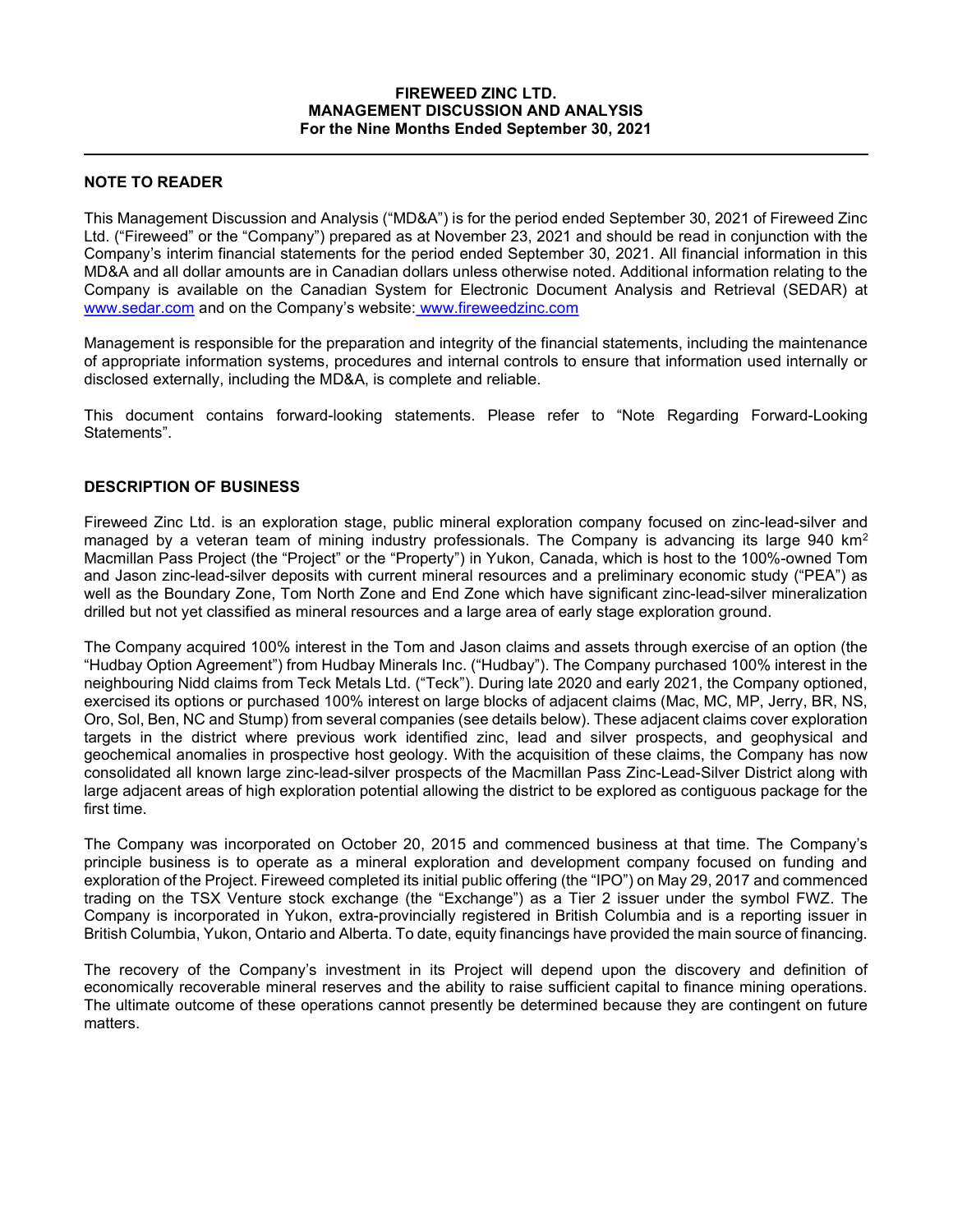## FIREWEED ZINC LTD. MANAGEMENT DISCUSSION AND ANALYSIS For the Nine Months Ended September 30, 2021

# NOTE TO READER

This Management Discussion and Analysis ("MD&A") is for the period ended September 30, 2021 of Fireweed Zinc Ltd. ("Fireweed" or the "Company") prepared as at November 23, 2021 and should be read in conjunction with the Company's interim financial statements for the period ended September 30, 2021. All financial information in this MD&A and all dollar amounts are in Canadian dollars unless otherwise noted. Additional information relating to the Company is available on the Canadian System for Electronic Document Analysis and Retrieval (SEDAR) at www.sedar.com and on the Company's website: www.fireweedzinc.com

Management is responsible for the preparation and integrity of the financial statements, including the maintenance of appropriate information systems, procedures and internal controls to ensure that information used internally or disclosed externally, including the MD&A, is complete and reliable.

This document contains forward-looking statements. Please refer to "Note Regarding Forward-Looking Statements".

# DESCRIPTION OF BUSINESS

Fireweed Zinc Ltd. is an exploration stage, public mineral exploration company focused on zinc-lead-silver and managed by a veteran team of mining industry professionals. The Company is advancing its large 940 km<sup>2</sup> Macmillan Pass Project (the "Project" or the "Property") in Yukon, Canada, which is host to the 100%-owned Tom and Jason zinc-lead-silver deposits with current mineral resources and a preliminary economic study ("PEA") as well as the Boundary Zone, Tom North Zone and End Zone which have significant zinc-lead-silver mineralization drilled but not yet classified as mineral resources and a large area of early stage exploration ground.

The Company acquired 100% interest in the Tom and Jason claims and assets through exercise of an option (the "Hudbay Option Agreement") from Hudbay Minerals Inc. ("Hudbay"). The Company purchased 100% interest in the neighbouring Nidd claims from Teck Metals Ltd. ("Teck"). During late 2020 and early 2021, the Company optioned, exercised its options or purchased 100% interest on large blocks of adjacent claims (Mac, MC, MP, Jerry, BR, NS, Oro, Sol, Ben, NC and Stump) from several companies (see details below). These adjacent claims cover exploration targets in the district where previous work identified zinc, lead and silver prospects, and geophysical and geochemical anomalies in prospective host geology. With the acquisition of these claims, the Company has now consolidated all known large zinc-lead-silver prospects of the Macmillan Pass Zinc-Lead-Silver District along with large adjacent areas of high exploration potential allowing the district to be explored as contiguous package for the first time.

The Company was incorporated on October 20, 2015 and commenced business at that time. The Company's principle business is to operate as a mineral exploration and development company focused on funding and exploration of the Project. Fireweed completed its initial public offering (the "IPO") on May 29, 2017 and commenced trading on the TSX Venture stock exchange (the "Exchange") as a Tier 2 issuer under the symbol FWZ. The Company is incorporated in Yukon, extra-provincially registered in British Columbia and is a reporting issuer in British Columbia, Yukon, Ontario and Alberta. To date, equity financings have provided the main source of financing.

The recovery of the Company's investment in its Project will depend upon the discovery and definition of economically recoverable mineral reserves and the ability to raise sufficient capital to finance mining operations. The ultimate outcome of these operations cannot presently be determined because they are contingent on future matters.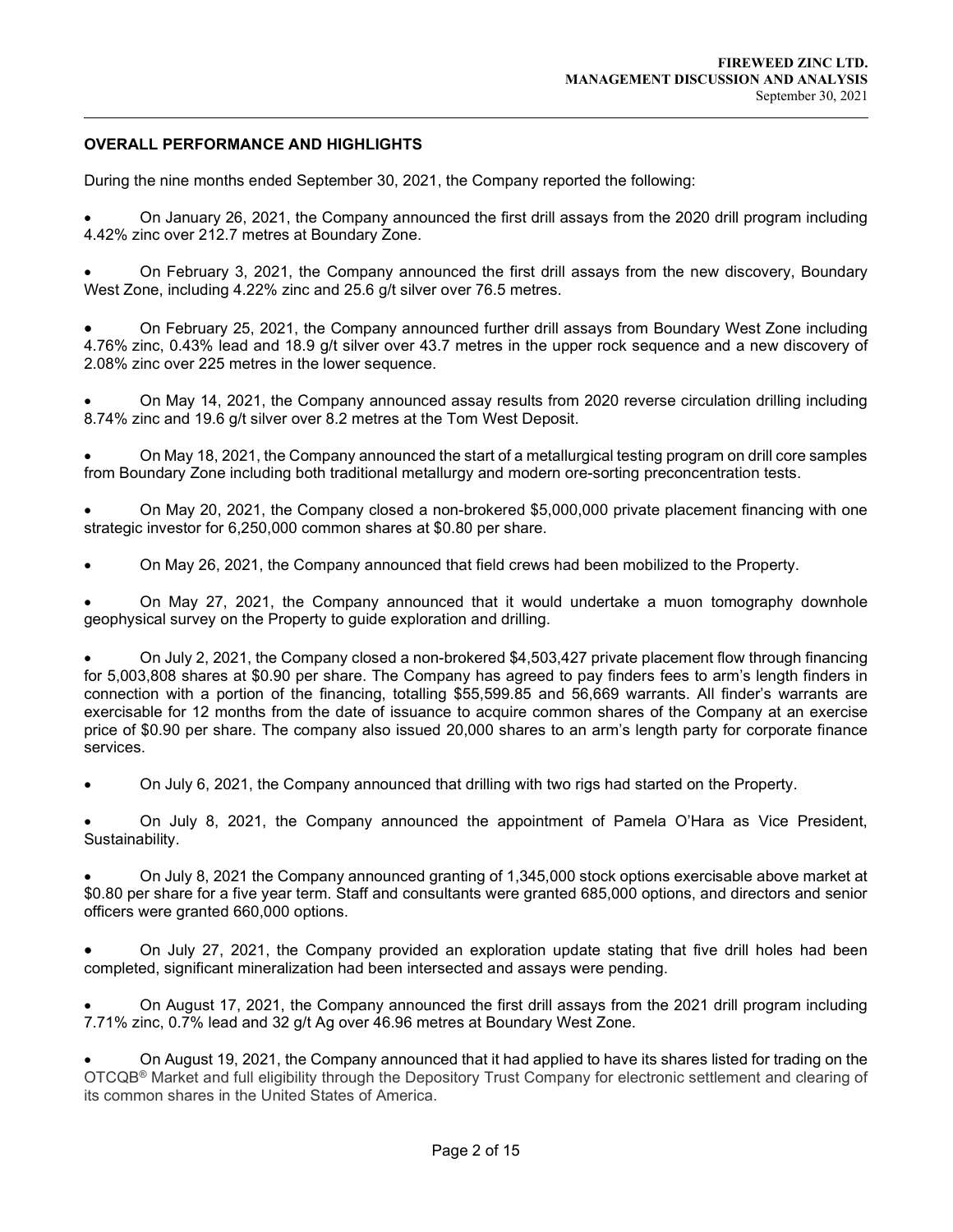# OVERALL PERFORMANCE AND HIGHLIGHTS

 $\overline{a}$ 

During the nine months ended September 30, 2021, the Company reported the following:

 On January 26, 2021, the Company announced the first drill assays from the 2020 drill program including 4.42% zinc over 212.7 metres at Boundary Zone.

 On February 3, 2021, the Company announced the first drill assays from the new discovery, Boundary West Zone, including 4.22% zinc and 25.6 g/t silver over 76.5 metres.

 On February 25, 2021, the Company announced further drill assays from Boundary West Zone including 4.76% zinc, 0.43% lead and 18.9 g/t silver over 43.7 metres in the upper rock sequence and a new discovery of 2.08% zinc over 225 metres in the lower sequence.

 On May 14, 2021, the Company announced assay results from 2020 reverse circulation drilling including 8.74% zinc and 19.6 g/t silver over 8.2 metres at the Tom West Deposit.

 On May 18, 2021, the Company announced the start of a metallurgical testing program on drill core samples from Boundary Zone including both traditional metallurgy and modern ore-sorting preconcentration tests.

 On May 20, 2021, the Company closed a non-brokered \$5,000,000 private placement financing with one strategic investor for 6,250,000 common shares at \$0.80 per share.

On May 26, 2021, the Company announced that field crews had been mobilized to the Property.

 On May 27, 2021, the Company announced that it would undertake a muon tomography downhole geophysical survey on the Property to guide exploration and drilling.

 On July 2, 2021, the Company closed a non-brokered \$4,503,427 private placement flow through financing for 5,003,808 shares at \$0.90 per share. The Company has agreed to pay finders fees to arm's length finders in connection with a portion of the financing, totalling \$55,599.85 and 56,669 warrants. All finder's warrants are exercisable for 12 months from the date of issuance to acquire common shares of the Company at an exercise price of \$0.90 per share. The company also issued 20,000 shares to an arm's length party for corporate finance services.

On July 6, 2021, the Company announced that drilling with two rigs had started on the Property.

 On July 8, 2021, the Company announced the appointment of Pamela O'Hara as Vice President, Sustainability.

 On July 8, 2021 the Company announced granting of 1,345,000 stock options exercisable above market at \$0.80 per share for a five year term. Staff and consultants were granted 685,000 options, and directors and senior officers were granted 660,000 options.

 On July 27, 2021, the Company provided an exploration update stating that five drill holes had been completed, significant mineralization had been intersected and assays were pending.

 On August 17, 2021, the Company announced the first drill assays from the 2021 drill program including 7.71% zinc, 0.7% lead and 32 g/t Ag over 46.96 metres at Boundary West Zone.

 On August 19, 2021, the Company announced that it had applied to have its shares listed for trading on the OTCQB® Market and full eligibility through the Depository Trust Company for electronic settlement and clearing of its common shares in the United States of America.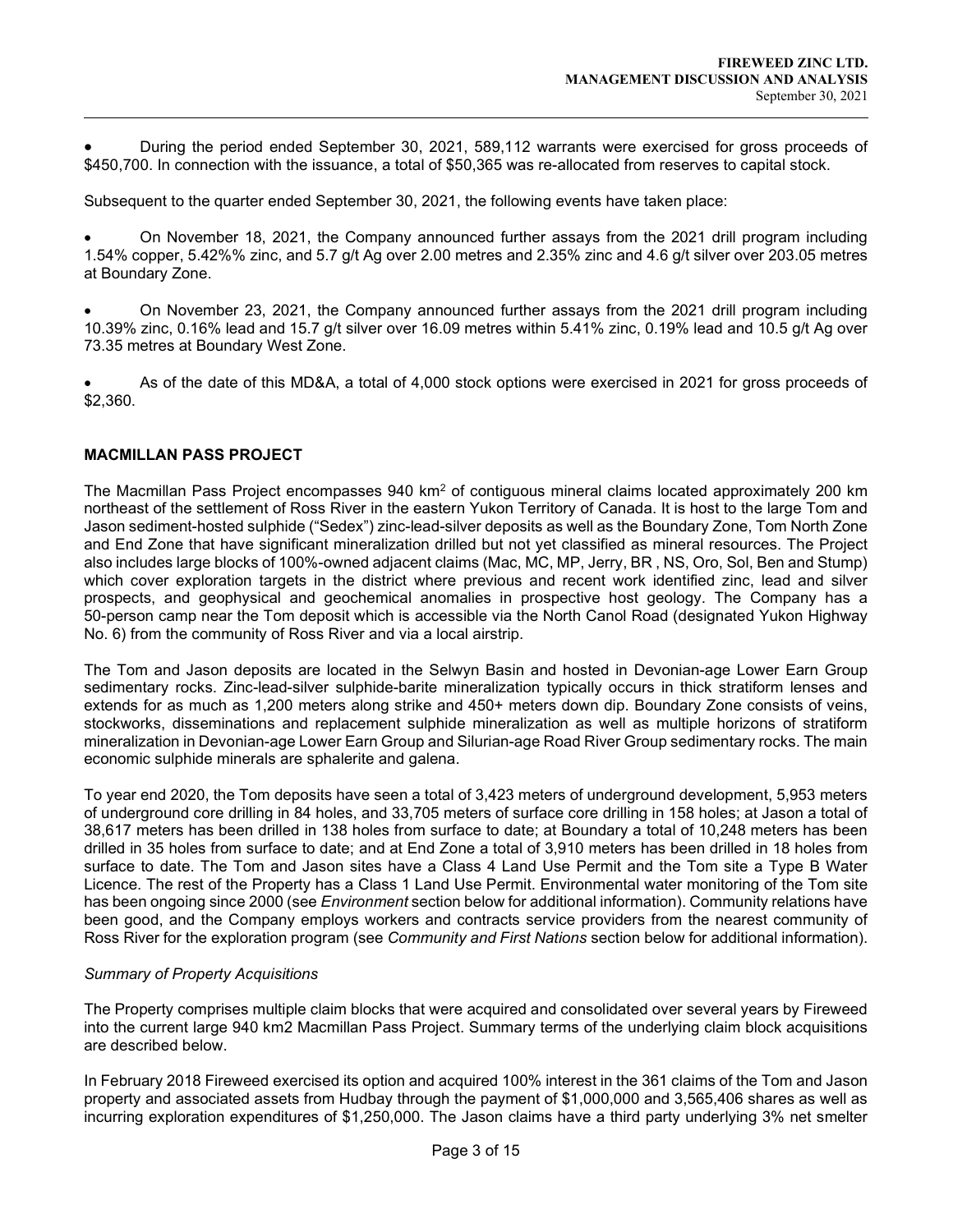During the period ended September 30, 2021, 589,112 warrants were exercised for gross proceeds of \$450,700. In connection with the issuance, a total of \$50,365 was re-allocated from reserves to capital stock.

Subsequent to the quarter ended September 30, 2021, the following events have taken place:

 On November 18, 2021, the Company announced further assays from the 2021 drill program including 1.54% copper, 5.42%% zinc, and 5.7 g/t Ag over 2.00 metres and 2.35% zinc and 4.6 g/t silver over 203.05 metres at Boundary Zone.

 On November 23, 2021, the Company announced further assays from the 2021 drill program including 10.39% zinc, 0.16% lead and 15.7 g/t silver over 16.09 metres within 5.41% zinc, 0.19% lead and 10.5 g/t Ag over 73.35 metres at Boundary West Zone.

 As of the date of this MD&A, a total of 4,000 stock options were exercised in 2021 for gross proceeds of \$2,360.

# MACMILLAN PASS PROJECT

 $\overline{a}$ 

The Macmillan Pass Project encompasses 940 km<sup>2</sup> of contiguous mineral claims located approximately 200 km northeast of the settlement of Ross River in the eastern Yukon Territory of Canada. It is host to the large Tom and Jason sediment-hosted sulphide ("Sedex") zinc-lead-silver deposits as well as the Boundary Zone, Tom North Zone and End Zone that have significant mineralization drilled but not yet classified as mineral resources. The Project also includes large blocks of 100%-owned adjacent claims (Mac, MC, MP, Jerry, BR , NS, Oro, Sol, Ben and Stump) which cover exploration targets in the district where previous and recent work identified zinc, lead and silver prospects, and geophysical and geochemical anomalies in prospective host geology. The Company has a 50-person camp near the Tom deposit which is accessible via the North Canol Road (designated Yukon Highway No. 6) from the community of Ross River and via a local airstrip.

The Tom and Jason deposits are located in the Selwyn Basin and hosted in Devonian-age Lower Earn Group sedimentary rocks. Zinc-lead-silver sulphide-barite mineralization typically occurs in thick stratiform lenses and extends for as much as 1,200 meters along strike and 450+ meters down dip. Boundary Zone consists of veins, stockworks, disseminations and replacement sulphide mineralization as well as multiple horizons of stratiform mineralization in Devonian-age Lower Earn Group and Silurian-age Road River Group sedimentary rocks. The main economic sulphide minerals are sphalerite and galena.

To year end 2020, the Tom deposits have seen a total of 3,423 meters of underground development, 5,953 meters of underground core drilling in 84 holes, and 33,705 meters of surface core drilling in 158 holes; at Jason a total of 38,617 meters has been drilled in 138 holes from surface to date; at Boundary a total of 10,248 meters has been drilled in 35 holes from surface to date; and at End Zone a total of 3,910 meters has been drilled in 18 holes from surface to date. The Tom and Jason sites have a Class 4 Land Use Permit and the Tom site a Type B Water Licence. The rest of the Property has a Class 1 Land Use Permit. Environmental water monitoring of the Tom site has been ongoing since 2000 (see *Environment* section below for additional information). Community relations have been good, and the Company employs workers and contracts service providers from the nearest community of Ross River for the exploration program (see Community and First Nations section below for additional information).

### Summary of Property Acquisitions

The Property comprises multiple claim blocks that were acquired and consolidated over several years by Fireweed into the current large 940 km2 Macmillan Pass Project. Summary terms of the underlying claim block acquisitions are described below.

In February 2018 Fireweed exercised its option and acquired 100% interest in the 361 claims of the Tom and Jason property and associated assets from Hudbay through the payment of \$1,000,000 and 3,565,406 shares as well as incurring exploration expenditures of \$1,250,000. The Jason claims have a third party underlying 3% net smelter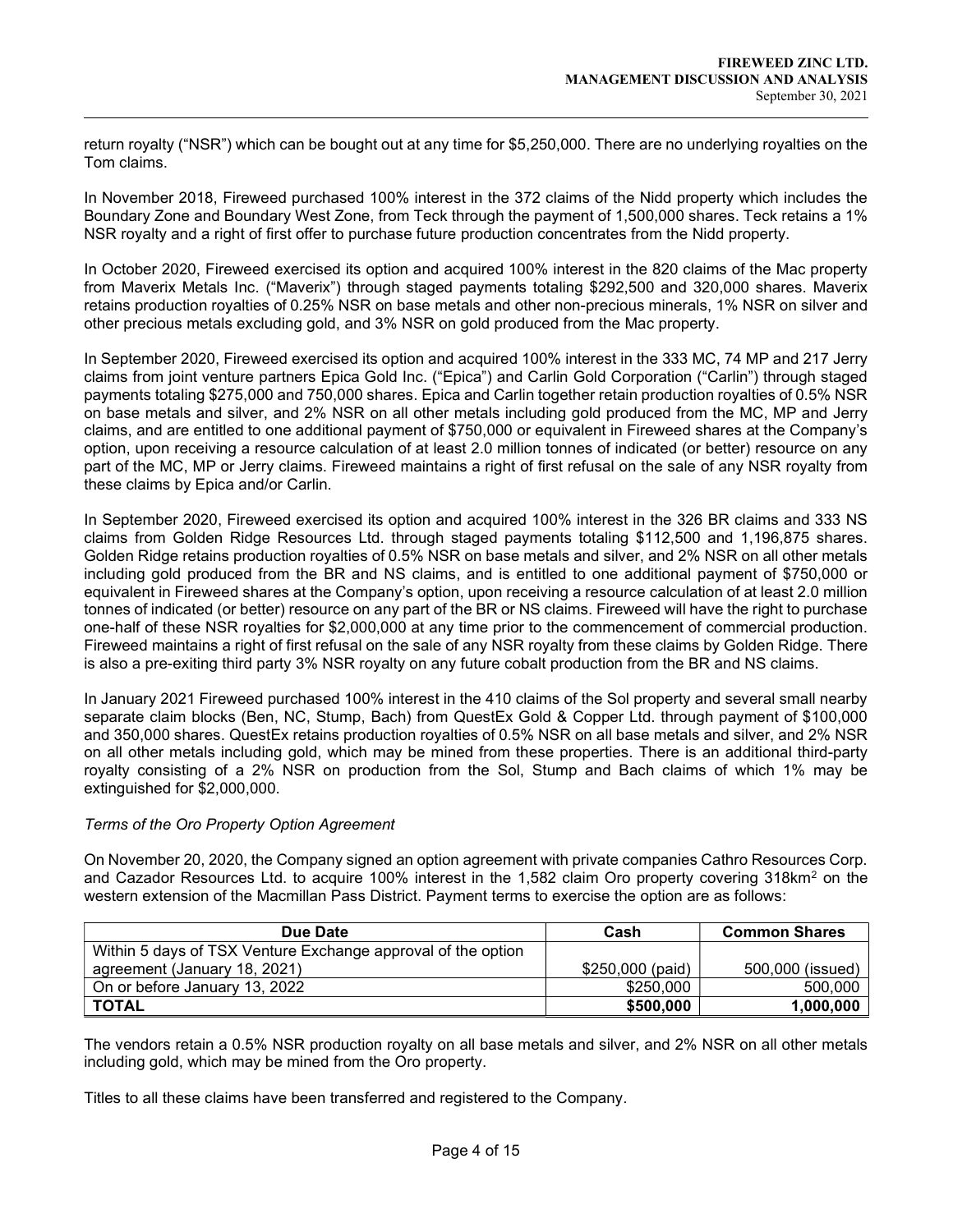return royalty ("NSR") which can be bought out at any time for \$5,250,000. There are no underlying royalties on the Tom claims.

In November 2018, Fireweed purchased 100% interest in the 372 claims of the Nidd property which includes the Boundary Zone and Boundary West Zone, from Teck through the payment of 1,500,000 shares. Teck retains a 1% NSR royalty and a right of first offer to purchase future production concentrates from the Nidd property.

In October 2020, Fireweed exercised its option and acquired 100% interest in the 820 claims of the Mac property from Maverix Metals Inc. ("Maverix") through staged payments totaling \$292,500 and 320,000 shares. Maverix retains production royalties of 0.25% NSR on base metals and other non-precious minerals, 1% NSR on silver and other precious metals excluding gold, and 3% NSR on gold produced from the Mac property.

In September 2020, Fireweed exercised its option and acquired 100% interest in the 333 MC, 74 MP and 217 Jerry claims from joint venture partners Epica Gold Inc. ("Epica") and Carlin Gold Corporation ("Carlin") through staged payments totaling \$275,000 and 750,000 shares. Epica and Carlin together retain production royalties of 0.5% NSR on base metals and silver, and 2% NSR on all other metals including gold produced from the MC, MP and Jerry claims, and are entitled to one additional payment of \$750,000 or equivalent in Fireweed shares at the Company's option, upon receiving a resource calculation of at least 2.0 million tonnes of indicated (or better) resource on any part of the MC, MP or Jerry claims. Fireweed maintains a right of first refusal on the sale of any NSR royalty from these claims by Epica and/or Carlin.

In September 2020, Fireweed exercised its option and acquired 100% interest in the 326 BR claims and 333 NS claims from Golden Ridge Resources Ltd. through staged payments totaling \$112,500 and 1,196,875 shares. Golden Ridge retains production royalties of 0.5% NSR on base metals and silver, and 2% NSR on all other metals including gold produced from the BR and NS claims, and is entitled to one additional payment of \$750,000 or equivalent in Fireweed shares at the Company's option, upon receiving a resource calculation of at least 2.0 million tonnes of indicated (or better) resource on any part of the BR or NS claims. Fireweed will have the right to purchase one-half of these NSR royalties for \$2,000,000 at any time prior to the commencement of commercial production. Fireweed maintains a right of first refusal on the sale of any NSR royalty from these claims by Golden Ridge. There is also a pre-exiting third party 3% NSR royalty on any future cobalt production from the BR and NS claims.

In January 2021 Fireweed purchased 100% interest in the 410 claims of the Sol property and several small nearby separate claim blocks (Ben, NC, Stump, Bach) from QuestEx Gold & Copper Ltd. through payment of \$100,000 and 350,000 shares. QuestEx retains production royalties of 0.5% NSR on all base metals and silver, and 2% NSR on all other metals including gold, which may be mined from these properties. There is an additional third-party royalty consisting of a 2% NSR on production from the Sol, Stump and Bach claims of which 1% may be extinguished for \$2,000,000.

### Terms of the Oro Property Option Agreement

 $\overline{a}$ 

On November 20, 2020, the Company signed an option agreement with private companies Cathro Resources Corp. and Cazador Resources Ltd. to acquire 100% interest in the 1,582 claim Oro property covering 318km<sup>2</sup> on the western extension of the Macmillan Pass District. Payment terms to exercise the option are as follows:

| Due Date                                                     | Cash             | <b>Common Shares</b> |
|--------------------------------------------------------------|------------------|----------------------|
| Within 5 days of TSX Venture Exchange approval of the option |                  |                      |
| agreement (January 18, 2021)                                 | \$250,000 (paid) | 500,000 (issued)     |
| On or before January 13, 2022                                | \$250,000        | 500,000              |
| <b>TOTAL</b>                                                 | \$500,000        | 1,000,000            |

The vendors retain a 0.5% NSR production royalty on all base metals and silver, and 2% NSR on all other metals including gold, which may be mined from the Oro property.

Titles to all these claims have been transferred and registered to the Company.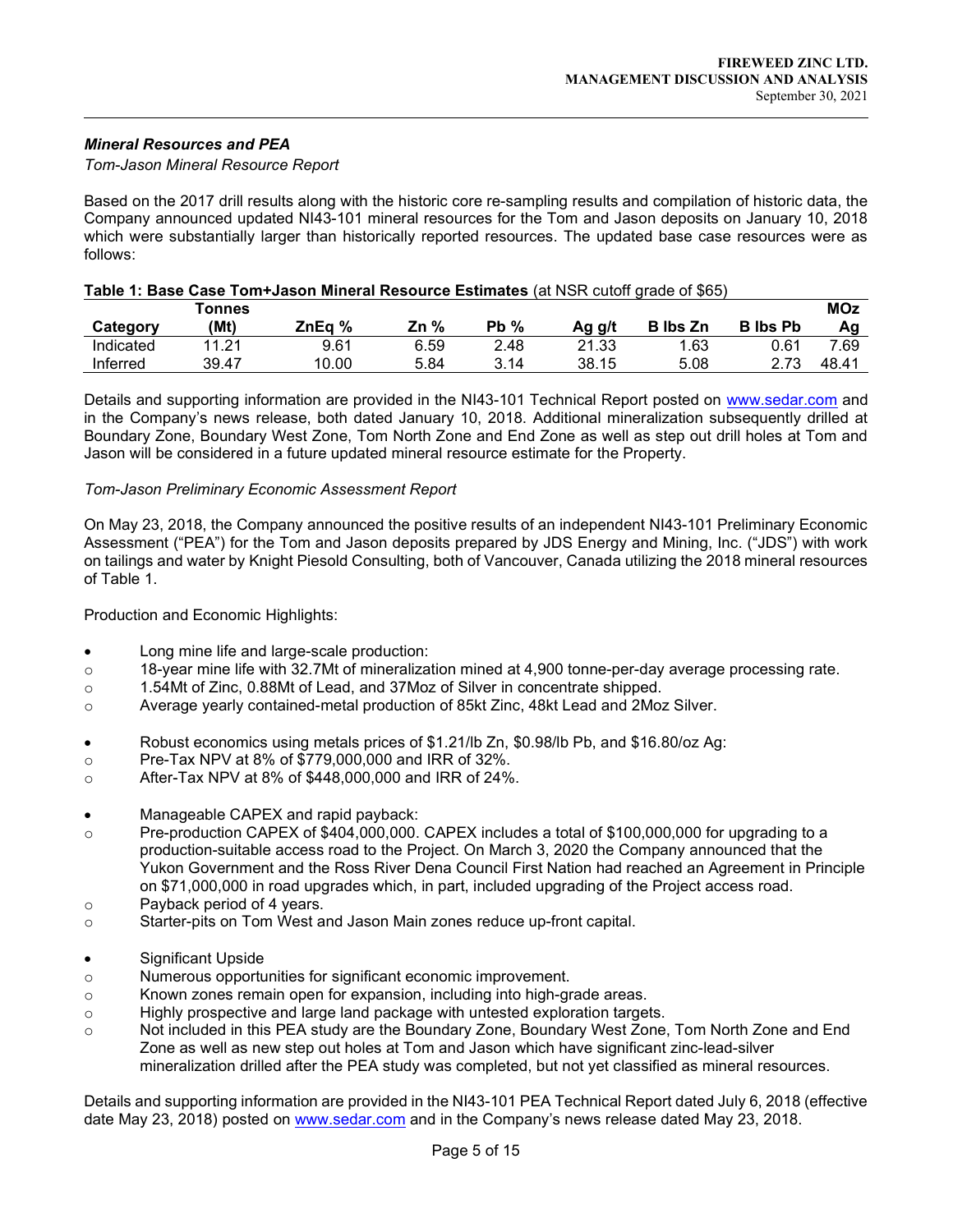# Mineral Resources and PEA

 $\overline{a}$ 

#### Tom-Jason Mineral Resource Report

Based on the 2017 drill results along with the historic core re-sampling results and compilation of historic data, the Company announced updated NI43-101 mineral resources for the Tom and Jason deposits on January 10, 2018 which were substantially larger than historically reported resources. The updated base case resources were as follows:

|           | Tonnes |        |      |        |        |                 |                 | <b>MOz</b> |
|-----------|--------|--------|------|--------|--------|-----------------|-----------------|------------|
| Category  | (Mt)   | ZnEa % | Zn % | $Pb\%$ | Ag g/t | <b>B</b> lbs Zn | <b>B</b> Ibs Pb | Αa         |
| Indicated | 11 21  | 9.61   | 6.59 | 2.48   | 21.33  | 1.63            | 0.61            | 7.69       |
| Inferred  | 39.47  | 10.00  | 5.84 | 3.14   | 38.15  | 5.08            | 2 72            | 48.41      |

# Table 1: Base Case Tom+Jason Mineral Resource Estimates (at NSR cutoff grade of \$65)

Details and supporting information are provided in the NI43-101 Technical Report posted on www.sedar.com and in the Company's news release, both dated January 10, 2018. Additional mineralization subsequently drilled at Boundary Zone, Boundary West Zone, Tom North Zone and End Zone as well as step out drill holes at Tom and Jason will be considered in a future updated mineral resource estimate for the Property.

#### Tom-Jason Preliminary Economic Assessment Report

On May 23, 2018, the Company announced the positive results of an independent NI43-101 Preliminary Economic Assessment ("PEA") for the Tom and Jason deposits prepared by JDS Energy and Mining, Inc. ("JDS") with work on tailings and water by Knight Piesold Consulting, both of Vancouver, Canada utilizing the 2018 mineral resources of Table 1.

Production and Economic Highlights:

- Long mine life and large-scale production:
- o 18-year mine life with 32.7Mt of mineralization mined at 4,900 tonne-per-day average processing rate.
- o 1.54Mt of Zinc, 0.88Mt of Lead, and 37Moz of Silver in concentrate shipped.
- o Average yearly contained-metal production of 85kt Zinc, 48kt Lead and 2Moz Silver.
- Robust economics using metals prices of \$1.21/lb Zn, \$0.98/lb Pb, and \$16.80/oz Ag:
- o Pre-Tax NPV at 8% of \$779,000,000 and IRR of 32%.
- o After-Tax NPV at 8% of \$448,000,000 and IRR of 24%.
- Manageable CAPEX and rapid payback:
- o Pre-production CAPEX of \$404,000,000. CAPEX includes a total of \$100,000,000 for upgrading to a production-suitable access road to the Project. On March 3, 2020 the Company announced that the Yukon Government and the Ross River Dena Council First Nation had reached an Agreement in Principle on \$71,000,000 in road upgrades which, in part, included upgrading of the Project access road.
- o Payback period of 4 years.
- o Starter-pits on Tom West and Jason Main zones reduce up-front capital.
- Significant Upside
- o Numerous opportunities for significant economic improvement.
- $\circ$  Known zones remain open for expansion, including into high-grade areas.
- o Highly prospective and large land package with untested exploration targets.
- o Not included in this PEA study are the Boundary Zone, Boundary West Zone, Tom North Zone and End Zone as well as new step out holes at Tom and Jason which have significant zinc-lead-silver mineralization drilled after the PEA study was completed, but not yet classified as mineral resources.

Details and supporting information are provided in the NI43-101 PEA Technical Report dated July 6, 2018 (effective date May 23, 2018) posted on www.sedar.com and in the Company's news release dated May 23, 2018.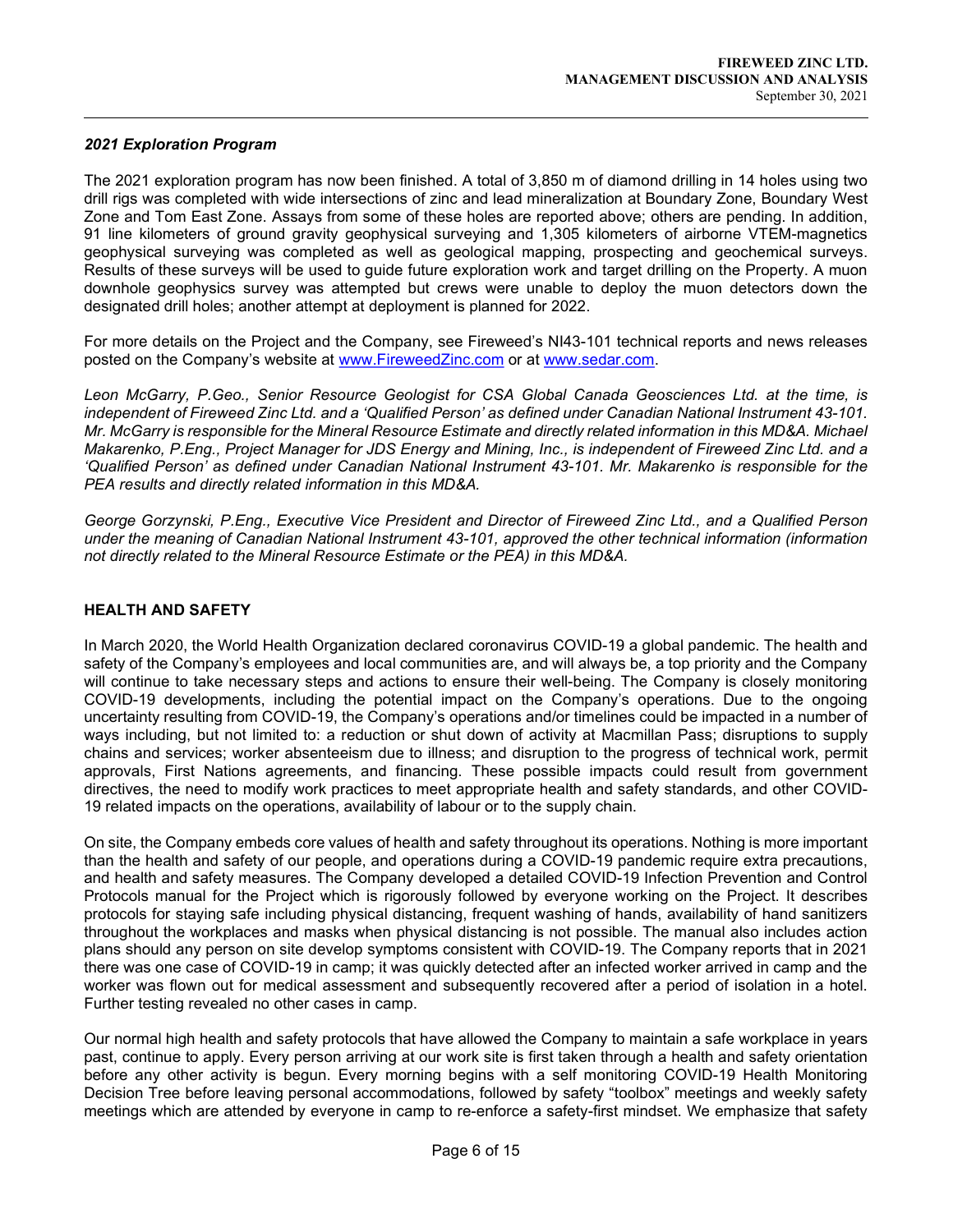# 2021 Exploration Program

 $\overline{a}$ 

The 2021 exploration program has now been finished. A total of 3,850 m of diamond drilling in 14 holes using two drill rigs was completed with wide intersections of zinc and lead mineralization at Boundary Zone, Boundary West Zone and Tom East Zone. Assays from some of these holes are reported above; others are pending. In addition, 91 line kilometers of ground gravity geophysical surveying and 1,305 kilometers of airborne VTEM-magnetics geophysical surveying was completed as well as geological mapping, prospecting and geochemical surveys. Results of these surveys will be used to guide future exploration work and target drilling on the Property. A muon downhole geophysics survey was attempted but crews were unable to deploy the muon detectors down the designated drill holes; another attempt at deployment is planned for 2022.

For more details on the Project and the Company, see Fireweed's NI43-101 technical reports and news releases posted on the Company's website at www.FireweedZinc.com or at www.sedar.com.

Leon McGarry, P.Geo., Senior Resource Geologist for CSA Global Canada Geosciences Ltd. at the time, is independent of Fireweed Zinc Ltd. and a 'Qualified Person' as defined under Canadian National Instrument 43-101. Mr. McGarry is responsible for the Mineral Resource Estimate and directly related information in this MD&A. Michael Makarenko, P.Eng., Project Manager for JDS Energy and Mining, Inc., is independent of Fireweed Zinc Ltd. and a 'Qualified Person' as defined under Canadian National Instrument 43-101. Mr. Makarenko is responsible for the PEA results and directly related information in this MD&A.

George Gorzynski, P.Eng., Executive Vice President and Director of Fireweed Zinc Ltd., and a Qualified Person under the meaning of Canadian National Instrument 43-101, approved the other technical information (information not directly related to the Mineral Resource Estimate or the PEA) in this MD&A.

# HEALTH AND SAFETY

In March 2020, the World Health Organization declared coronavirus COVID-19 a global pandemic. The health and safety of the Company's employees and local communities are, and will always be, a top priority and the Company will continue to take necessary steps and actions to ensure their well-being. The Company is closely monitoring COVID-19 developments, including the potential impact on the Company's operations. Due to the ongoing uncertainty resulting from COVID-19, the Company's operations and/or timelines could be impacted in a number of ways including, but not limited to: a reduction or shut down of activity at Macmillan Pass; disruptions to supply chains and services; worker absenteeism due to illness; and disruption to the progress of technical work, permit approvals, First Nations agreements, and financing. These possible impacts could result from government directives, the need to modify work practices to meet appropriate health and safety standards, and other COVID-19 related impacts on the operations, availability of labour or to the supply chain.

On site, the Company embeds core values of health and safety throughout its operations. Nothing is more important than the health and safety of our people, and operations during a COVID-19 pandemic require extra precautions, and health and safety measures. The Company developed a detailed COVID-19 Infection Prevention and Control Protocols manual for the Project which is rigorously followed by everyone working on the Project. It describes protocols for staying safe including physical distancing, frequent washing of hands, availability of hand sanitizers throughout the workplaces and masks when physical distancing is not possible. The manual also includes action plans should any person on site develop symptoms consistent with COVID-19. The Company reports that in 2021 there was one case of COVID-19 in camp; it was quickly detected after an infected worker arrived in camp and the worker was flown out for medical assessment and subsequently recovered after a period of isolation in a hotel. Further testing revealed no other cases in camp.

Our normal high health and safety protocols that have allowed the Company to maintain a safe workplace in years past, continue to apply. Every person arriving at our work site is first taken through a health and safety orientation before any other activity is begun. Every morning begins with a self monitoring COVID-19 Health Monitoring Decision Tree before leaving personal accommodations, followed by safety "toolbox" meetings and weekly safety meetings which are attended by everyone in camp to re-enforce a safety-first mindset. We emphasize that safety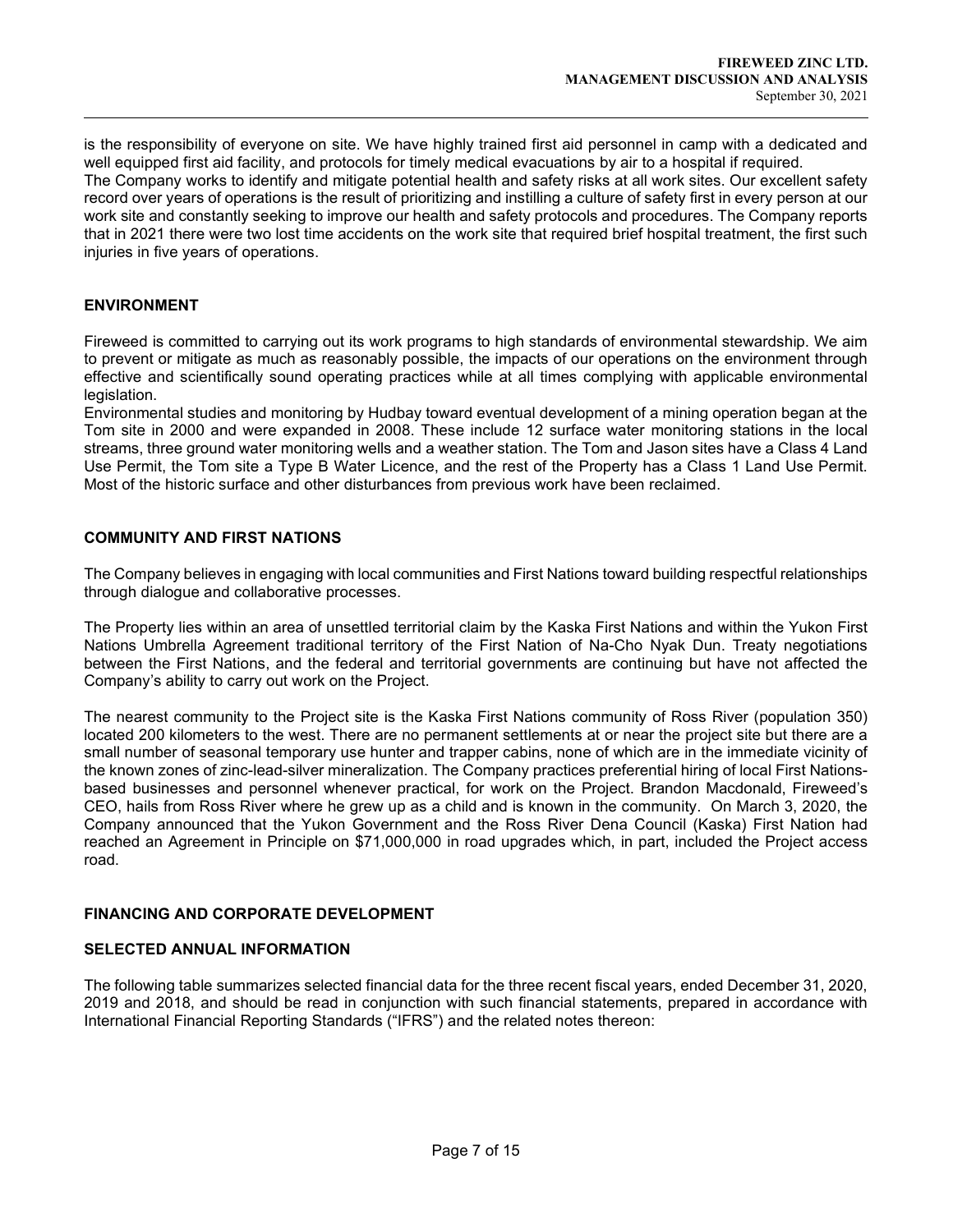is the responsibility of everyone on site. We have highly trained first aid personnel in camp with a dedicated and well equipped first aid facility, and protocols for timely medical evacuations by air to a hospital if required. The Company works to identify and mitigate potential health and safety risks at all work sites. Our excellent safety record over years of operations is the result of prioritizing and instilling a culture of safety first in every person at our work site and constantly seeking to improve our health and safety protocols and procedures. The Company reports that in 2021 there were two lost time accidents on the work site that required brief hospital treatment, the first such injuries in five years of operations.

## ENVIRONMENT

 $\overline{a}$ 

Fireweed is committed to carrying out its work programs to high standards of environmental stewardship. We aim to prevent or mitigate as much as reasonably possible, the impacts of our operations on the environment through effective and scientifically sound operating practices while at all times complying with applicable environmental legislation.

Environmental studies and monitoring by Hudbay toward eventual development of a mining operation began at the Tom site in 2000 and were expanded in 2008. These include 12 surface water monitoring stations in the local streams, three ground water monitoring wells and a weather station. The Tom and Jason sites have a Class 4 Land Use Permit, the Tom site a Type B Water Licence, and the rest of the Property has a Class 1 Land Use Permit. Most of the historic surface and other disturbances from previous work have been reclaimed.

# COMMUNITY AND FIRST NATIONS

The Company believes in engaging with local communities and First Nations toward building respectful relationships through dialogue and collaborative processes.

The Property lies within an area of unsettled territorial claim by the Kaska First Nations and within the Yukon First Nations Umbrella Agreement traditional territory of the First Nation of Na-Cho Nyak Dun. Treaty negotiations between the First Nations, and the federal and territorial governments are continuing but have not affected the Company's ability to carry out work on the Project.

The nearest community to the Project site is the Kaska First Nations community of Ross River (population 350) located 200 kilometers to the west. There are no permanent settlements at or near the project site but there are a small number of seasonal temporary use hunter and trapper cabins, none of which are in the immediate vicinity of the known zones of zinc-lead-silver mineralization. The Company practices preferential hiring of local First Nationsbased businesses and personnel whenever practical, for work on the Project. Brandon Macdonald, Fireweed's CEO, hails from Ross River where he grew up as a child and is known in the community. On March 3, 2020, the Company announced that the Yukon Government and the Ross River Dena Council (Kaska) First Nation had reached an Agreement in Principle on \$71,000,000 in road upgrades which, in part, included the Project access road.

### FINANCING AND CORPORATE DEVELOPMENT

### SELECTED ANNUAL INFORMATION

The following table summarizes selected financial data for the three recent fiscal years, ended December 31, 2020, 2019 and 2018, and should be read in conjunction with such financial statements, prepared in accordance with International Financial Reporting Standards ("IFRS") and the related notes thereon: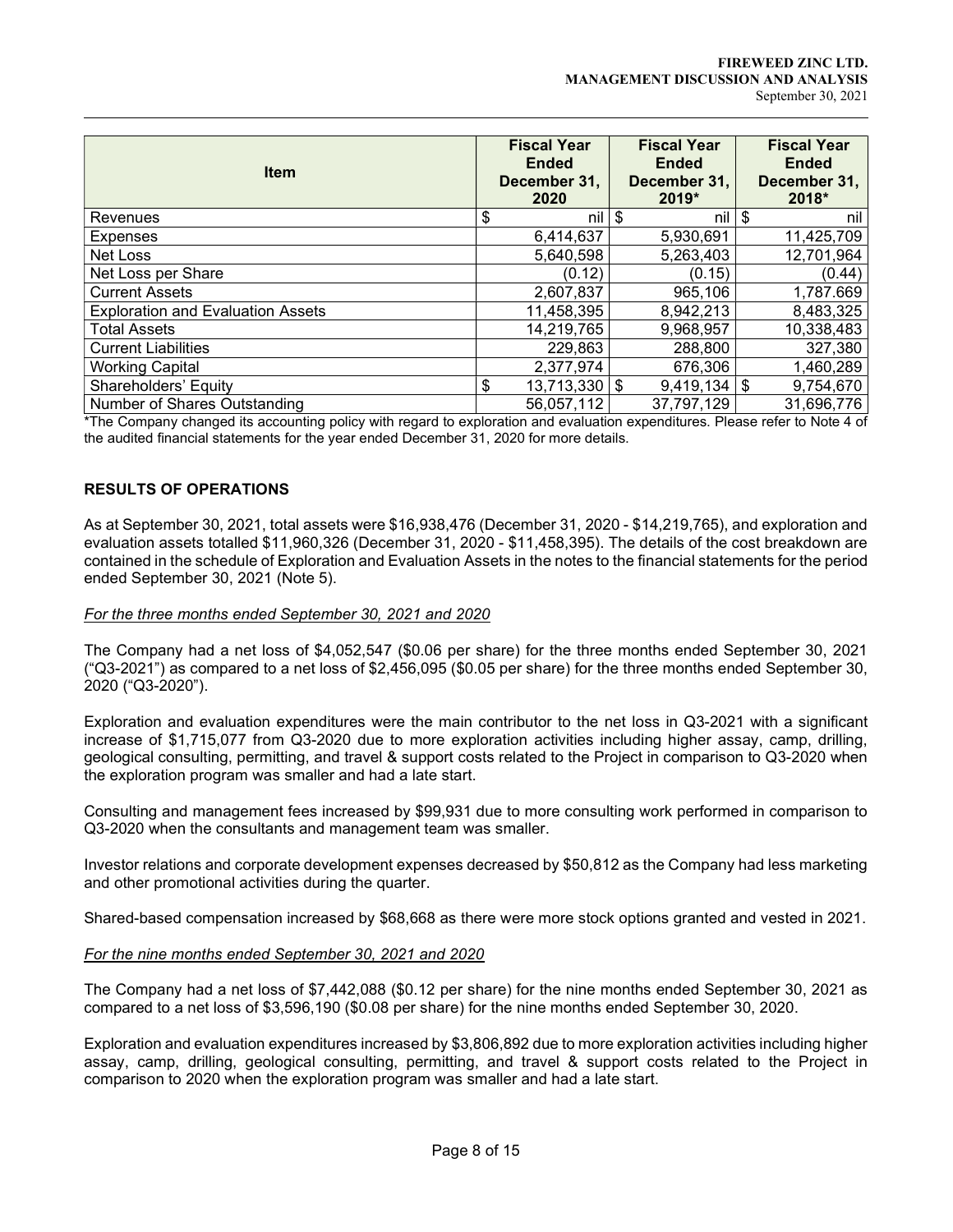|                                          | <b>Fiscal Year</b>     | <b>Fiscal Year</b> | <b>Fiscal Year</b> |
|------------------------------------------|------------------------|--------------------|--------------------|
| <b>Item</b>                              | <b>Ended</b>           | <b>Ended</b>       | <b>Ended</b>       |
|                                          | December 31,           | December 31,       | December 31,       |
|                                          | 2020                   | 2019*              | 2018*              |
| Revenues                                 | nil<br>\$              | \$<br>nil          | \$<br>nil          |
| <b>Expenses</b>                          | 6,414,637              | 5,930,691          | 11,425,709         |
| Net Loss                                 | 5,640,598              | 5,263,403          | 12,701,964         |
| Net Loss per Share                       | (0.12)                 | (0.15)             | (0.44)             |
| <b>Current Assets</b>                    | 2,607,837              | 965,106            | 1,787.669          |
| <b>Exploration and Evaluation Assets</b> | 11,458,395             | 8,942,213          | 8,483,325          |
| <b>Total Assets</b>                      | 14,219,765             | 9,968,957          | 10,338,483         |
| <b>Current Liabilities</b>               | 229,863                | 288,800            | 327,380            |
| <b>Working Capital</b>                   | 2,377,974              | 676,306            | 1,460,289          |
| Shareholders' Equity                     | \$<br>$13,713,330$ \\$ | $9,419,134$ \\$    | 9,754,670          |
| Number of Shares Outstanding             | 56,057,112             | 37,797,129         | 31,696,776         |

\*The Company changed its accounting policy with regard to exploration and evaluation expenditures. Please refer to Note 4 of the audited financial statements for the year ended December 31, 2020 for more details.

# RESULTS OF OPERATIONS

 $\overline{a}$ 

As at September 30, 2021, total assets were \$16,938,476 (December 31, 2020 - \$14,219,765), and exploration and evaluation assets totalled \$11,960,326 (December 31, 2020 - \$11,458,395). The details of the cost breakdown are contained in the schedule of Exploration and Evaluation Assets in the notes to the financial statements for the period ended September 30, 2021 (Note 5).

#### For the three months ended September 30, 2021 and 2020

The Company had a net loss of \$4,052,547 (\$0.06 per share) for the three months ended September 30, 2021 ("Q3-2021") as compared to a net loss of \$2,456,095 (\$0.05 per share) for the three months ended September 30, 2020 ("Q3-2020").

Exploration and evaluation expenditures were the main contributor to the net loss in Q3-2021 with a significant increase of \$1,715,077 from Q3-2020 due to more exploration activities including higher assay, camp, drilling, geological consulting, permitting, and travel & support costs related to the Project in comparison to Q3-2020 when the exploration program was smaller and had a late start.

Consulting and management fees increased by \$99,931 due to more consulting work performed in comparison to Q3-2020 when the consultants and management team was smaller.

Investor relations and corporate development expenses decreased by \$50,812 as the Company had less marketing and other promotional activities during the quarter.

Shared-based compensation increased by \$68,668 as there were more stock options granted and vested in 2021.

#### For the nine months ended September 30, 2021 and 2020

The Company had a net loss of \$7,442,088 (\$0.12 per share) for the nine months ended September 30, 2021 as compared to a net loss of \$3,596,190 (\$0.08 per share) for the nine months ended September 30, 2020.

Exploration and evaluation expenditures increased by \$3,806,892 due to more exploration activities including higher assay, camp, drilling, geological consulting, permitting, and travel & support costs related to the Project in comparison to 2020 when the exploration program was smaller and had a late start.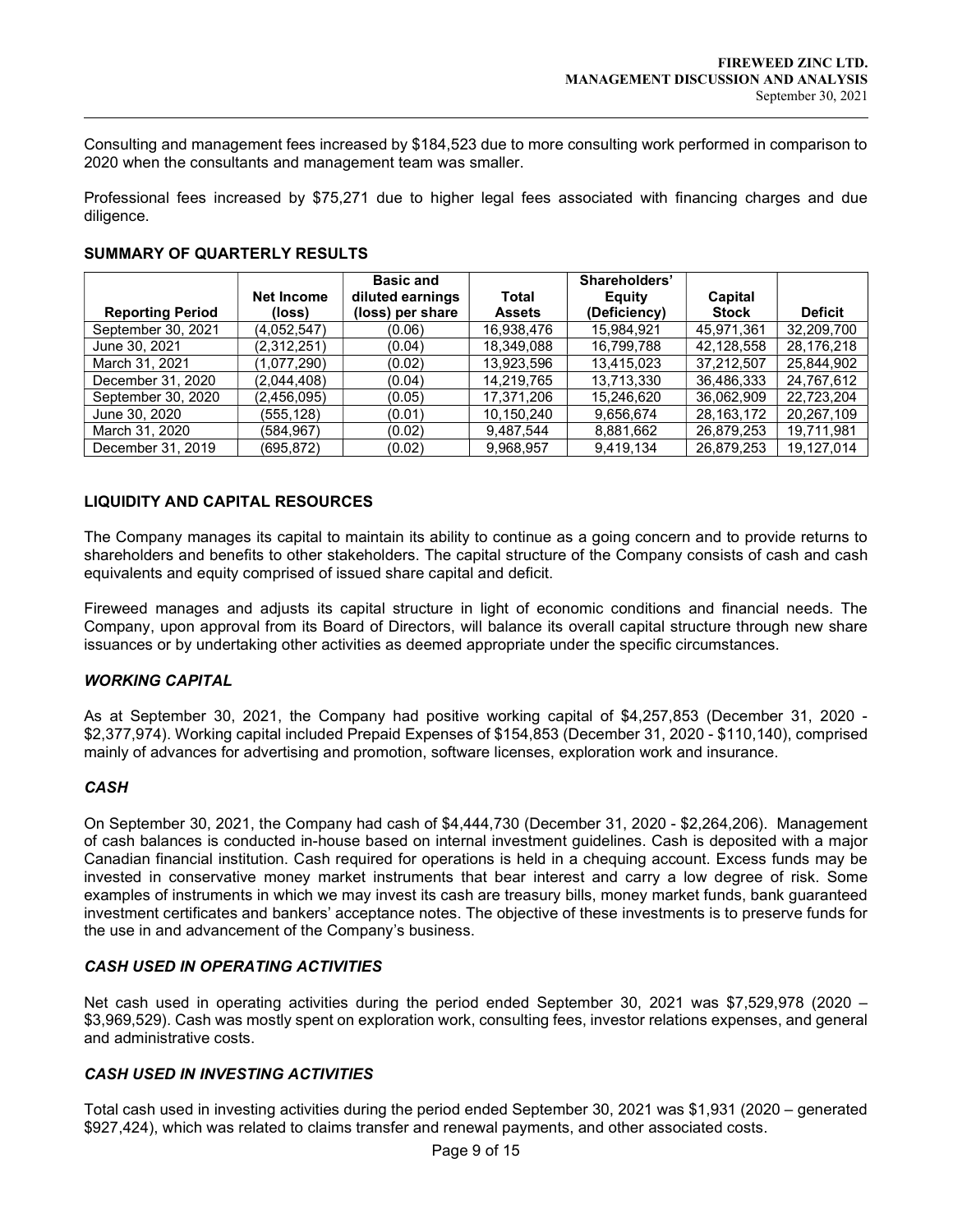Consulting and management fees increased by \$184,523 due to more consulting work performed in comparison to 2020 when the consultants and management team was smaller.

Professional fees increased by \$75,271 due to higher legal fees associated with financing charges and due diligence.

|                         | Net Income  | <b>Basic and</b><br>diluted earnings | Total         | Shareholders'<br>Equity | Capital      |                |
|-------------------------|-------------|--------------------------------------|---------------|-------------------------|--------------|----------------|
| <b>Reporting Period</b> | (loss)      | (loss) per share                     | <b>Assets</b> | (Deficiency)            | <b>Stock</b> | <b>Deficit</b> |
| September 30, 2021      | (4,052,547) | (0.06)                               | 16,938,476    | 15,984,921              | 45,971,361   | 32,209,700     |
| June 30, 2021           | (2,312,251) | (0.04)                               | 18,349,088    | 16.799.788              | 42,128,558   | 28,176,218     |
| March 31, 2021          | (1,077,290) | (0.02)                               | 13,923,596    | 13.415.023              | 37.212.507   | 25,844,902     |
| December 31, 2020       | (2,044,408) | (0.04)                               | 14,219,765    | 13,713,330              | 36,486,333   | 24,767,612     |
| September 30, 2020      | (2,456,095) | (0.05)                               | 17,371,206    | 15.246.620              | 36,062,909   | 22,723,204     |
| June 30, 2020           | (555,128)   | (0.01)                               | 10,150,240    | 9.656.674               | 28, 163, 172 | 20,267,109     |
| March 31, 2020          | (584.967)   | (0.02)                               | 9,487,544     | 8,881,662               | 26,879,253   | 19,711,981     |
| December 31, 2019       | (695,872)   | (0.02)                               | 9,968,957     | 9,419,134               | 26,879,253   | 19.127.014     |

# SUMMARY OF QUARTERLY RESULTS

# LIQUIDITY AND CAPITAL RESOURCES

The Company manages its capital to maintain its ability to continue as a going concern and to provide returns to shareholders and benefits to other stakeholders. The capital structure of the Company consists of cash and cash equivalents and equity comprised of issued share capital and deficit.

Fireweed manages and adjusts its capital structure in light of economic conditions and financial needs. The Company, upon approval from its Board of Directors, will balance its overall capital structure through new share issuances or by undertaking other activities as deemed appropriate under the specific circumstances.

### WORKING CAPITAL

As at September 30, 2021, the Company had positive working capital of \$4,257,853 (December 31, 2020 - \$2,377,974). Working capital included Prepaid Expenses of \$154,853 (December 31, 2020 - \$110,140), comprised mainly of advances for advertising and promotion, software licenses, exploration work and insurance.

### **CASH**

 $\overline{a}$ 

On September 30, 2021, the Company had cash of \$4,444,730 (December 31, 2020 - \$2,264,206). Management of cash balances is conducted in-house based on internal investment guidelines. Cash is deposited with a major Canadian financial institution. Cash required for operations is held in a chequing account. Excess funds may be invested in conservative money market instruments that bear interest and carry a low degree of risk. Some examples of instruments in which we may invest its cash are treasury bills, money market funds, bank guaranteed investment certificates and bankers' acceptance notes. The objective of these investments is to preserve funds for the use in and advancement of the Company's business.

# CASH USED IN OPERATING ACTIVITIES

Net cash used in operating activities during the period ended September 30, 2021 was \$7,529,978 (2020 – \$3,969,529). Cash was mostly spent on exploration work, consulting fees, investor relations expenses, and general and administrative costs.

# CASH USED IN INVESTING ACTIVITIES

Total cash used in investing activities during the period ended September 30, 2021 was \$1,931 (2020 – generated \$927,424), which was related to claims transfer and renewal payments, and other associated costs.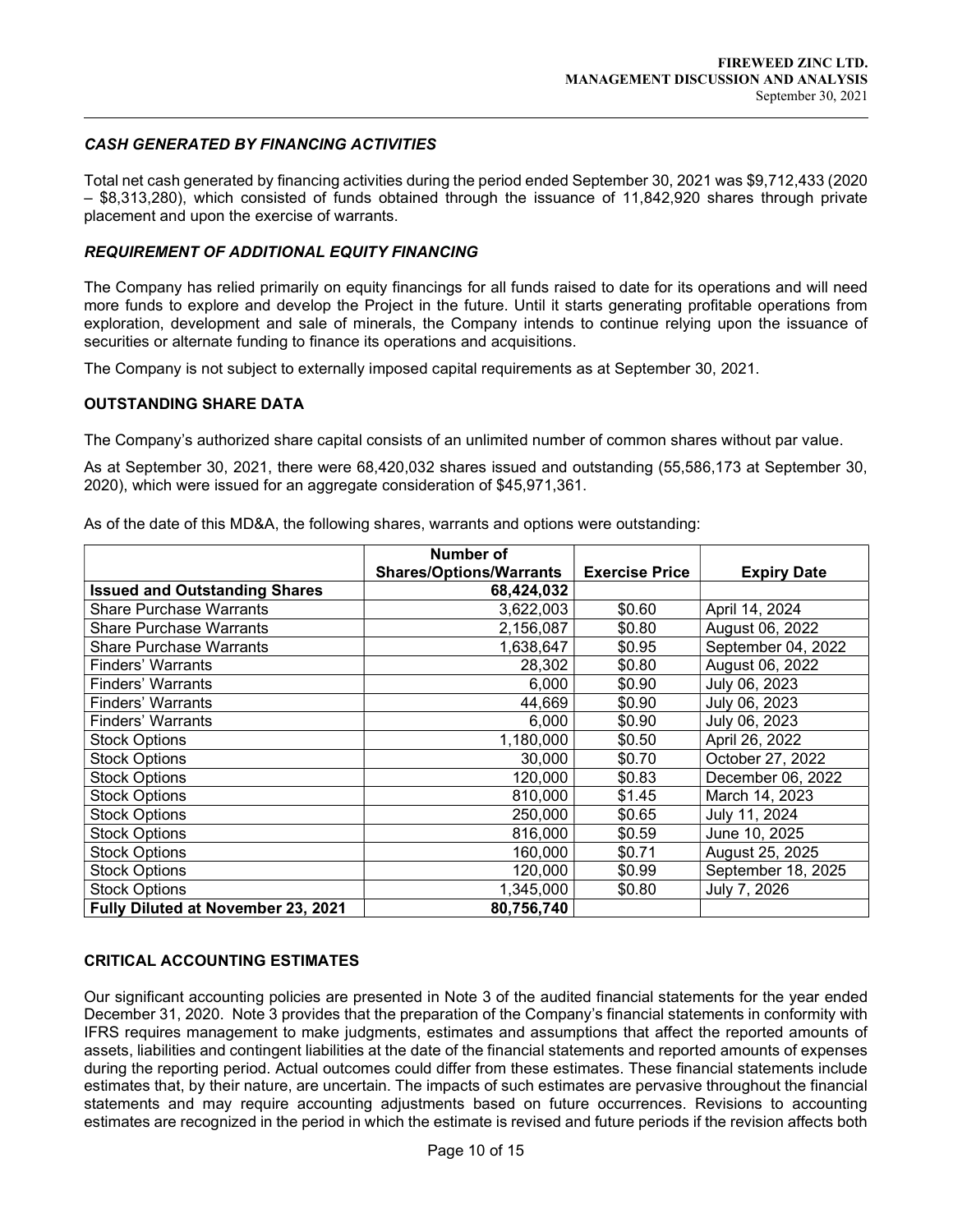# CASH GENERATED BY FINANCING ACTIVITIES

Total net cash generated by financing activities during the period ended September 30, 2021 was \$9,712,433 (2020 – \$8,313,280), which consisted of funds obtained through the issuance of 11,842,920 shares through private placement and upon the exercise of warrants.

# REQUIREMENT OF ADDITIONAL EQUITY FINANCING

The Company has relied primarily on equity financings for all funds raised to date for its operations and will need more funds to explore and develop the Project in the future. Until it starts generating profitable operations from exploration, development and sale of minerals, the Company intends to continue relying upon the issuance of securities or alternate funding to finance its operations and acquisitions.

The Company is not subject to externally imposed capital requirements as at September 30, 2021.

### OUTSTANDING SHARE DATA

 $\overline{a}$ 

The Company's authorized share capital consists of an unlimited number of common shares without par value.

As at September 30, 2021, there were 68,420,032 shares issued and outstanding (55,586,173 at September 30, 2020), which were issued for an aggregate consideration of \$45,971,361.

|                                      | Number of                      |                       |                    |
|--------------------------------------|--------------------------------|-----------------------|--------------------|
|                                      | <b>Shares/Options/Warrants</b> | <b>Exercise Price</b> | <b>Expiry Date</b> |
| <b>Issued and Outstanding Shares</b> | 68,424,032                     |                       |                    |
| <b>Share Purchase Warrants</b>       | 3,622,003                      | \$0.60                | April 14, 2024     |
| <b>Share Purchase Warrants</b>       | 2,156,087                      | \$0.80                | August 06, 2022    |
| Share Purchase Warrants              | 1,638,647                      | \$0.95                | September 04, 2022 |
| <b>Finders' Warrants</b>             | 28,302                         | \$0.80                | August 06, 2022    |
| Finders' Warrants                    | 6,000                          | \$0.90                | July 06, 2023      |
| <b>Finders' Warrants</b>             | 44,669                         | \$0.90                | July 06, 2023      |
| <b>Finders' Warrants</b>             | 6,000                          | \$0.90                | July 06, 2023      |
| <b>Stock Options</b>                 | 1,180,000                      | \$0.50                | April 26, 2022     |
| <b>Stock Options</b>                 | 30,000                         | \$0.70                | October 27, 2022   |
| <b>Stock Options</b>                 | 120,000                        | \$0.83                | December 06, 2022  |
| Stock Options                        | 810,000                        | \$1.45                | March 14, 2023     |
| <b>Stock Options</b>                 | 250,000                        | \$0.65                | July 11, 2024      |
| <b>Stock Options</b>                 | 816,000                        | \$0.59                | June 10, 2025      |
| <b>Stock Options</b>                 | 160,000                        | \$0.71                | August 25, 2025    |
| <b>Stock Options</b>                 | 120,000                        | \$0.99                | September 18, 2025 |
| <b>Stock Options</b>                 | 1,345,000                      | \$0.80                | July 7, 2026       |
| Fully Diluted at November 23, 2021   | 80,756,740                     |                       |                    |

As of the date of this MD&A, the following shares, warrants and options were outstanding:

### CRITICAL ACCOUNTING ESTIMATES

Our significant accounting policies are presented in Note 3 of the audited financial statements for the year ended December 31, 2020. Note 3 provides that the preparation of the Company's financial statements in conformity with IFRS requires management to make judgments, estimates and assumptions that affect the reported amounts of assets, liabilities and contingent liabilities at the date of the financial statements and reported amounts of expenses during the reporting period. Actual outcomes could differ from these estimates. These financial statements include estimates that, by their nature, are uncertain. The impacts of such estimates are pervasive throughout the financial statements and may require accounting adjustments based on future occurrences. Revisions to accounting estimates are recognized in the period in which the estimate is revised and future periods if the revision affects both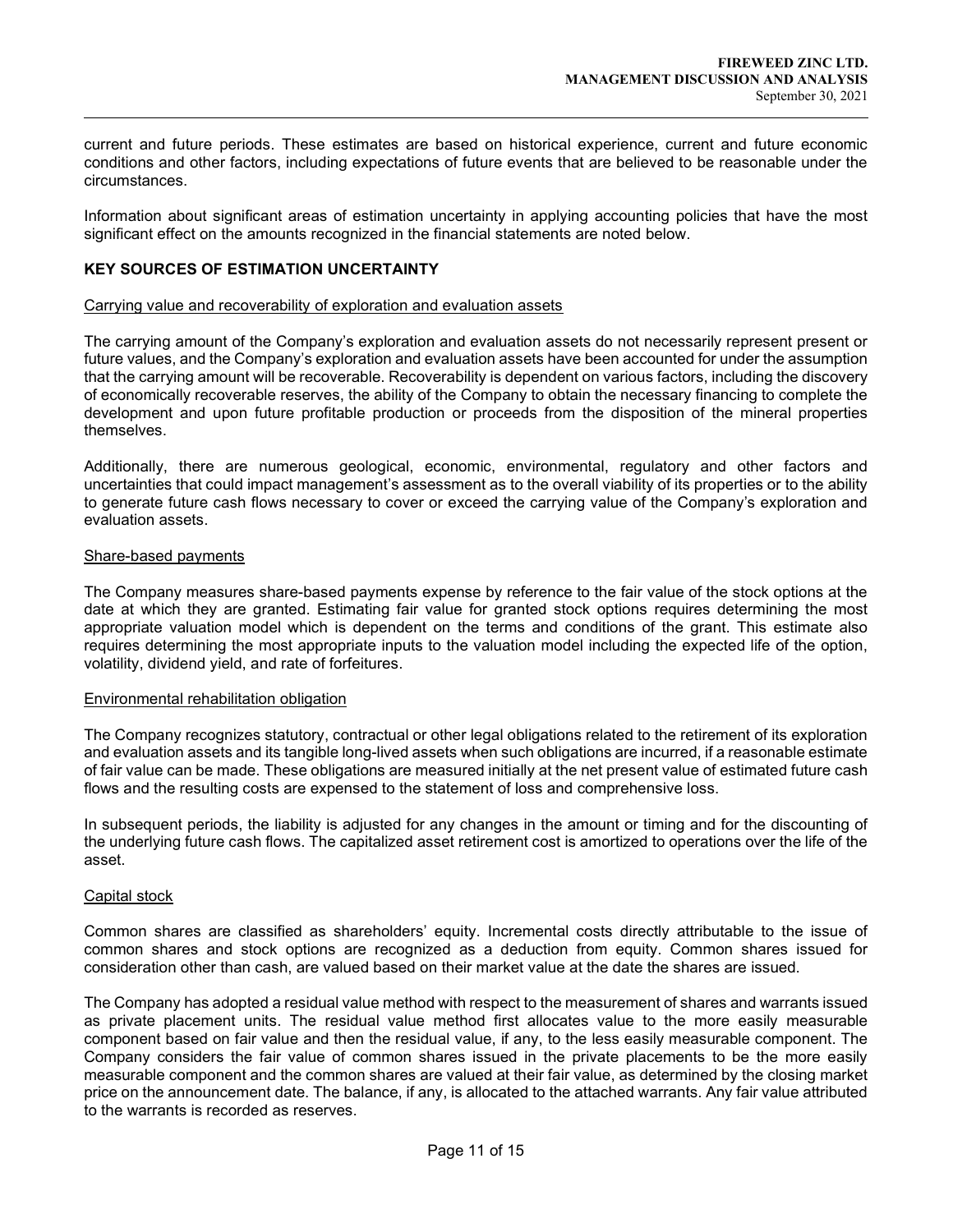current and future periods. These estimates are based on historical experience, current and future economic conditions and other factors, including expectations of future events that are believed to be reasonable under the circumstances.

Information about significant areas of estimation uncertainty in applying accounting policies that have the most significant effect on the amounts recognized in the financial statements are noted below.

### KEY SOURCES OF ESTIMATION UNCERTAINTY

#### Carrying value and recoverability of exploration and evaluation assets

The carrying amount of the Company's exploration and evaluation assets do not necessarily represent present or future values, and the Company's exploration and evaluation assets have been accounted for under the assumption that the carrying amount will be recoverable. Recoverability is dependent on various factors, including the discovery of economically recoverable reserves, the ability of the Company to obtain the necessary financing to complete the development and upon future profitable production or proceeds from the disposition of the mineral properties themselves.

Additionally, there are numerous geological, economic, environmental, regulatory and other factors and uncertainties that could impact management's assessment as to the overall viability of its properties or to the ability to generate future cash flows necessary to cover or exceed the carrying value of the Company's exploration and evaluation assets.

#### Share-based payments

 $\overline{a}$ 

The Company measures share-based payments expense by reference to the fair value of the stock options at the date at which they are granted. Estimating fair value for granted stock options requires determining the most appropriate valuation model which is dependent on the terms and conditions of the grant. This estimate also requires determining the most appropriate inputs to the valuation model including the expected life of the option, volatility, dividend yield, and rate of forfeitures.

#### Environmental rehabilitation obligation

The Company recognizes statutory, contractual or other legal obligations related to the retirement of its exploration and evaluation assets and its tangible long-lived assets when such obligations are incurred, if a reasonable estimate of fair value can be made. These obligations are measured initially at the net present value of estimated future cash flows and the resulting costs are expensed to the statement of loss and comprehensive loss.

In subsequent periods, the liability is adjusted for any changes in the amount or timing and for the discounting of the underlying future cash flows. The capitalized asset retirement cost is amortized to operations over the life of the asset.

#### Capital stock

Common shares are classified as shareholders' equity. Incremental costs directly attributable to the issue of common shares and stock options are recognized as a deduction from equity. Common shares issued for consideration other than cash, are valued based on their market value at the date the shares are issued.

The Company has adopted a residual value method with respect to the measurement of shares and warrants issued as private placement units. The residual value method first allocates value to the more easily measurable component based on fair value and then the residual value, if any, to the less easily measurable component. The Company considers the fair value of common shares issued in the private placements to be the more easily measurable component and the common shares are valued at their fair value, as determined by the closing market price on the announcement date. The balance, if any, is allocated to the attached warrants. Any fair value attributed to the warrants is recorded as reserves.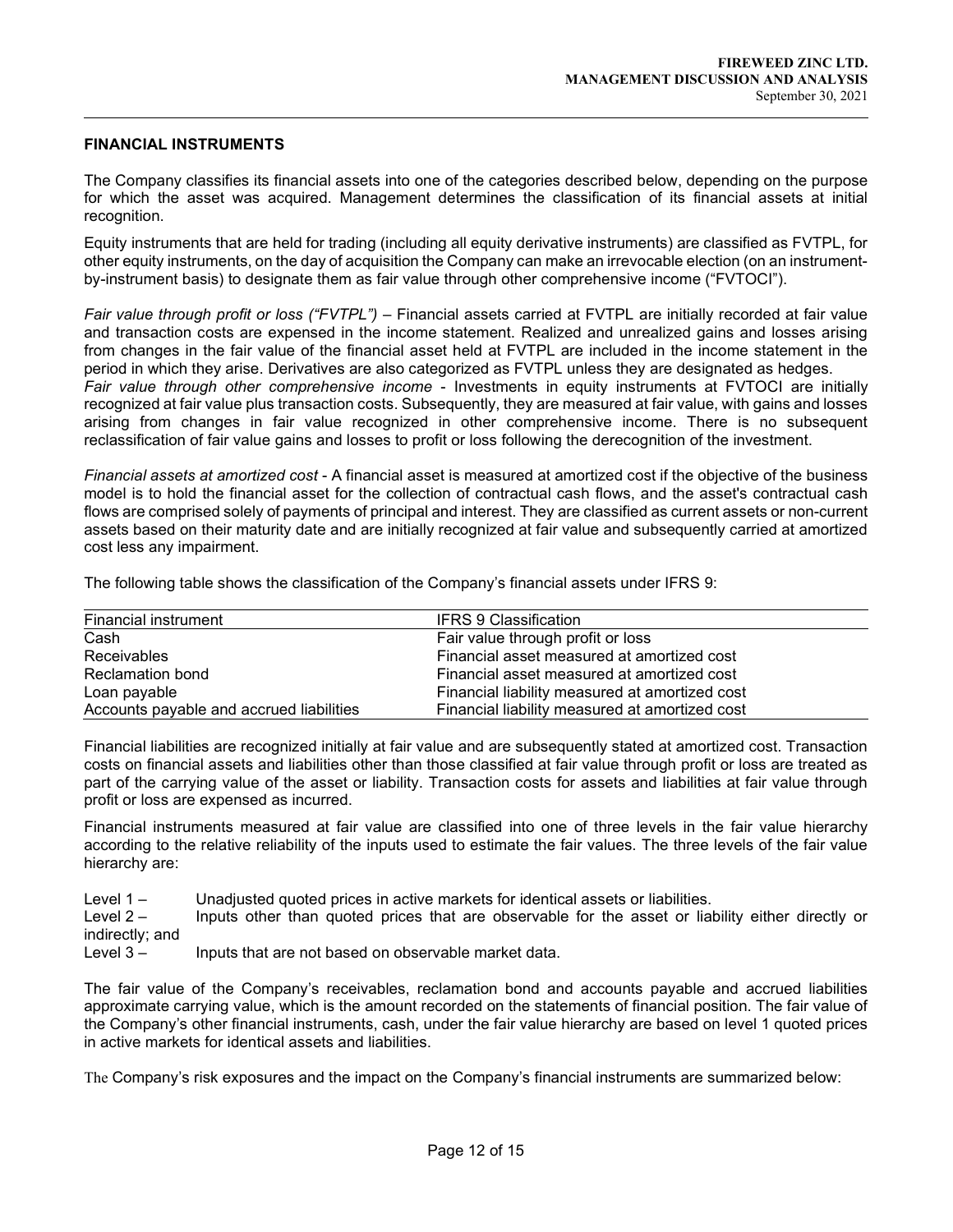#### FINANCIAL INSTRUMENTS

 $\overline{a}$ 

The Company classifies its financial assets into one of the categories described below, depending on the purpose for which the asset was acquired. Management determines the classification of its financial assets at initial recognition.

Equity instruments that are held for trading (including all equity derivative instruments) are classified as FVTPL, for other equity instruments, on the day of acquisition the Company can make an irrevocable election (on an instrumentby-instrument basis) to designate them as fair value through other comprehensive income ("FVTOCI").

Fair value through profit or loss ("FVTPL") – Financial assets carried at FVTPL are initially recorded at fair value and transaction costs are expensed in the income statement. Realized and unrealized gains and losses arising from changes in the fair value of the financial asset held at FVTPL are included in the income statement in the period in which they arise. Derivatives are also categorized as FVTPL unless they are designated as hedges. Fair value through other comprehensive income - Investments in equity instruments at FVTOCI are initially recognized at fair value plus transaction costs. Subsequently, they are measured at fair value, with gains and losses arising from changes in fair value recognized in other comprehensive income. There is no subsequent reclassification of fair value gains and losses to profit or loss following the derecognition of the investment.

Financial assets at amortized cost - A financial asset is measured at amortized cost if the objective of the business model is to hold the financial asset for the collection of contractual cash flows, and the asset's contractual cash flows are comprised solely of payments of principal and interest. They are classified as current assets or non-current assets based on their maturity date and are initially recognized at fair value and subsequently carried at amortized cost less any impairment.

The following table shows the classification of the Company's financial assets under IFRS 9:

| Financial instrument                     | <b>IFRS 9 Classification</b>                   |
|------------------------------------------|------------------------------------------------|
| Cash                                     | Fair value through profit or loss              |
| <b>Receivables</b>                       | Financial asset measured at amortized cost     |
| <b>Reclamation bond</b>                  | Financial asset measured at amortized cost     |
| Loan payable                             | Financial liability measured at amortized cost |
| Accounts payable and accrued liabilities | Financial liability measured at amortized cost |

Financial liabilities are recognized initially at fair value and are subsequently stated at amortized cost. Transaction costs on financial assets and liabilities other than those classified at fair value through profit or loss are treated as part of the carrying value of the asset or liability. Transaction costs for assets and liabilities at fair value through profit or loss are expensed as incurred.

Financial instruments measured at fair value are classified into one of three levels in the fair value hierarchy according to the relative reliability of the inputs used to estimate the fair values. The three levels of the fair value hierarchy are:

Level 1 – Unadjusted quoted prices in active markets for identical assets or liabilities.

Level 2 – Inputs other than quoted prices that are observable for the asset or liability either directly or indirectly; and

Level 3 – Inputs that are not based on observable market data.

The fair value of the Company's receivables, reclamation bond and accounts payable and accrued liabilities approximate carrying value, which is the amount recorded on the statements of financial position. The fair value of the Company's other financial instruments, cash, under the fair value hierarchy are based on level 1 quoted prices in active markets for identical assets and liabilities.

The Company's risk exposures and the impact on the Company's financial instruments are summarized below: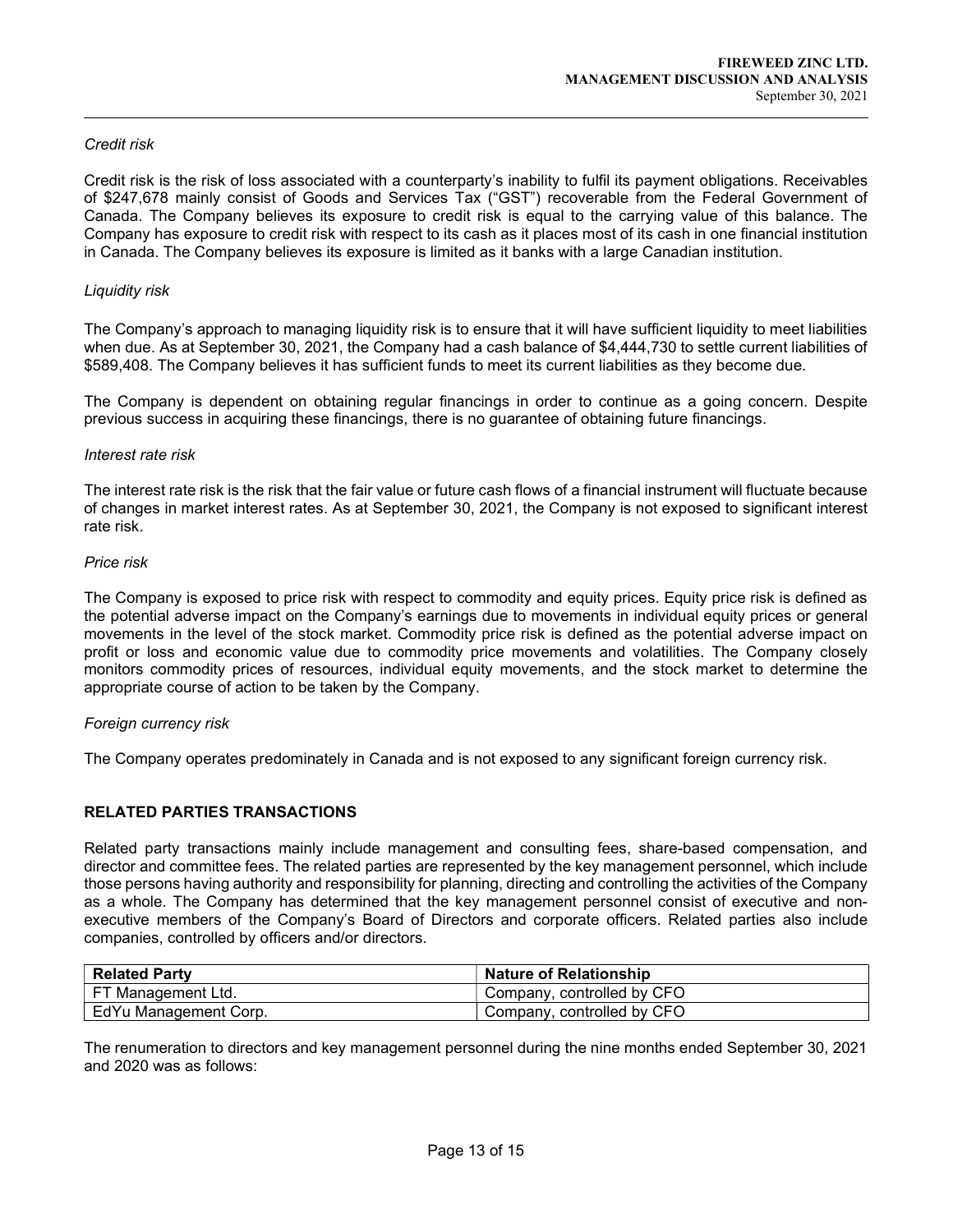### Credit risk

 $\overline{a}$ 

Credit risk is the risk of loss associated with a counterparty's inability to fulfil its payment obligations. Receivables of \$247,678 mainly consist of Goods and Services Tax ("GST") recoverable from the Federal Government of Canada. The Company believes its exposure to credit risk is equal to the carrying value of this balance. The Company has exposure to credit risk with respect to its cash as it places most of its cash in one financial institution in Canada. The Company believes its exposure is limited as it banks with a large Canadian institution.

### Liquidity risk

The Company's approach to managing liquidity risk is to ensure that it will have sufficient liquidity to meet liabilities when due. As at September 30, 2021, the Company had a cash balance of \$4,444,730 to settle current liabilities of \$589,408. The Company believes it has sufficient funds to meet its current liabilities as they become due.

The Company is dependent on obtaining regular financings in order to continue as a going concern. Despite previous success in acquiring these financings, there is no guarantee of obtaining future financings.

#### Interest rate risk

The interest rate risk is the risk that the fair value or future cash flows of a financial instrument will fluctuate because of changes in market interest rates. As at September 30, 2021, the Company is not exposed to significant interest rate risk.

#### Price risk

The Company is exposed to price risk with respect to commodity and equity prices. Equity price risk is defined as the potential adverse impact on the Company's earnings due to movements in individual equity prices or general movements in the level of the stock market. Commodity price risk is defined as the potential adverse impact on profit or loss and economic value due to commodity price movements and volatilities. The Company closely monitors commodity prices of resources, individual equity movements, and the stock market to determine the appropriate course of action to be taken by the Company.

### Foreign currency risk

The Company operates predominately in Canada and is not exposed to any significant foreign currency risk.

# RELATED PARTIES TRANSACTIONS

Related party transactions mainly include management and consulting fees, share-based compensation, and director and committee fees. The related parties are represented by the key management personnel, which include those persons having authority and responsibility for planning, directing and controlling the activities of the Company as a whole. The Company has determined that the key management personnel consist of executive and nonexecutive members of the Company's Board of Directors and corporate officers. Related parties also include companies, controlled by officers and/or directors.

| <b>Related Party</b>  | <b>Nature of Relationship</b> |
|-----------------------|-------------------------------|
| FT Management Ltd.    | Company, controlled by CFO    |
| EdYu Management Corp. | Company, controlled by CFO    |

The renumeration to directors and key management personnel during the nine months ended September 30, 2021 and 2020 was as follows: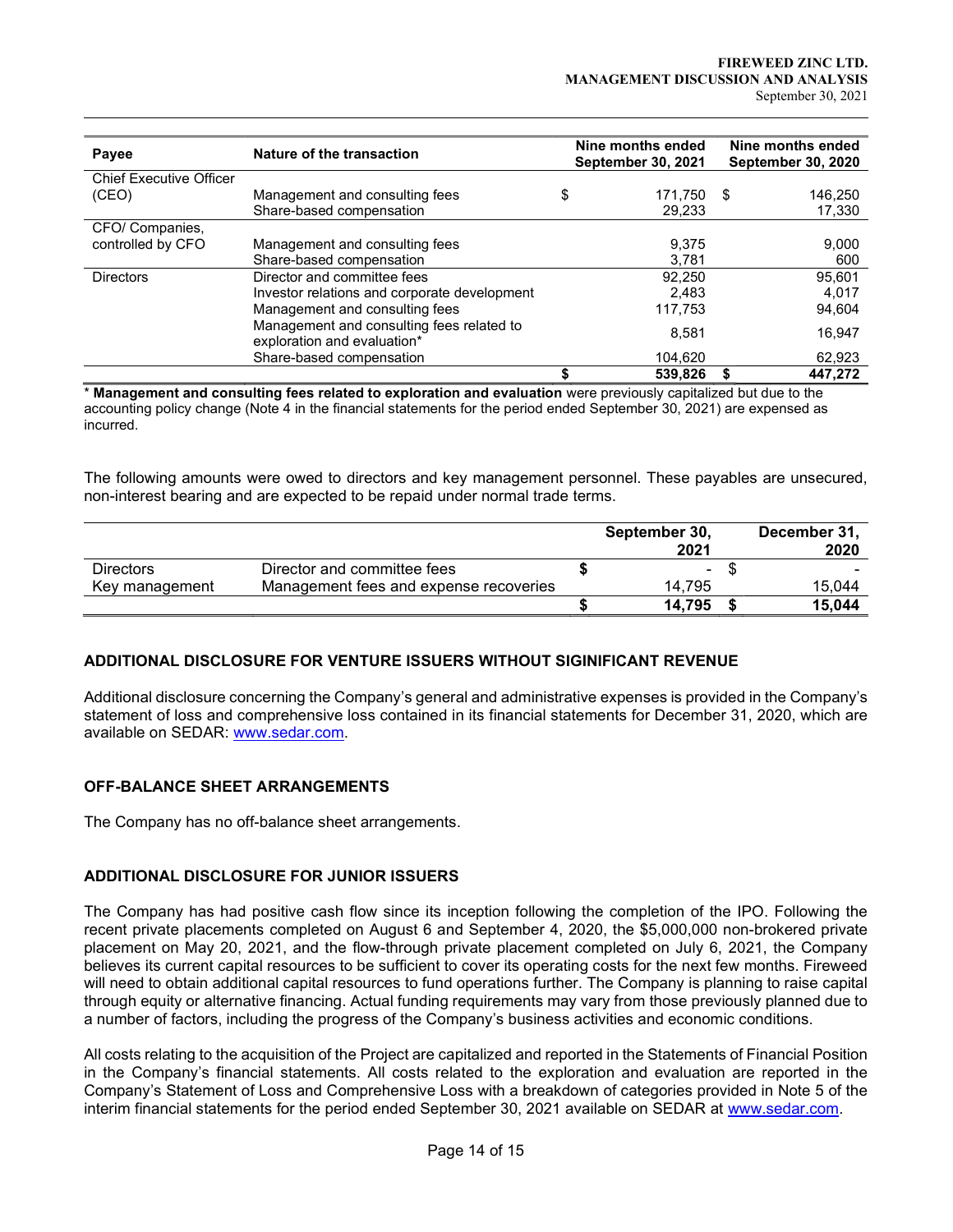| Payee                                   | Nature of the transaction                                                                                     | Nine months ended<br><b>September 30, 2021</b> | Nine months ended<br><b>September 30, 2020</b> |                             |  |
|-----------------------------------------|---------------------------------------------------------------------------------------------------------------|------------------------------------------------|------------------------------------------------|-----------------------------|--|
| <b>Chief Executive Officer</b><br>(CEO) | Management and consulting fees<br>Share-based compensation                                                    | \$<br>171.750<br>29,233                        | - \$                                           | 146,250<br>17,330           |  |
| CFO/ Companies,<br>controlled by CFO    | Management and consulting fees<br>Share-based compensation                                                    | 9,375<br>3,781                                 |                                                | 9,000<br>600                |  |
| <b>Directors</b>                        | Director and committee fees<br>Investor relations and corporate development<br>Management and consulting fees | 92,250<br>2.483<br>117,753                     |                                                | 95,601<br>4,017<br>94,604   |  |
|                                         | Management and consulting fees related to<br>exploration and evaluation*<br>Share-based compensation          | 8,581<br>104,620<br>539,826                    |                                                | 16,947<br>62,923<br>447.272 |  |

\* Management and consulting fees related to exploration and evaluation were previously capitalized but due to the accounting policy change (Note 4 in the financial statements for the period ended September 30, 2021) are expensed as incurred.

The following amounts were owed to directors and key management personnel. These payables are unsecured, non-interest bearing and are expected to be repaid under normal trade terms.

|                  |                                        | September 30,<br>2021 | December 31,<br>2020 |
|------------------|----------------------------------------|-----------------------|----------------------|
| <b>Directors</b> | Director and committee fees            | -                     |                      |
| Key management   | Management fees and expense recoveries | 14.795                | 15.044               |
|                  |                                        | 14.795                | 15.044               |

# ADDITIONAL DISCLOSURE FOR VENTURE ISSUERS WITHOUT SIGINIFICANT REVENUE

Additional disclosure concerning the Company's general and administrative expenses is provided in the Company's statement of loss and comprehensive loss contained in its financial statements for December 31, 2020, which are available on SEDAR: www.sedar.com.

## OFF-BALANCE SHEET ARRANGEMENTS

 $\overline{a}$ 

The Company has no off-balance sheet arrangements.

# ADDITIONAL DISCLOSURE FOR JUNIOR ISSUERS

The Company has had positive cash flow since its inception following the completion of the IPO. Following the recent private placements completed on August 6 and September 4, 2020, the \$5,000,000 non-brokered private placement on May 20, 2021, and the flow-through private placement completed on July 6, 2021, the Company believes its current capital resources to be sufficient to cover its operating costs for the next few months. Fireweed will need to obtain additional capital resources to fund operations further. The Company is planning to raise capital through equity or alternative financing. Actual funding requirements may vary from those previously planned due to a number of factors, including the progress of the Company's business activities and economic conditions.

All costs relating to the acquisition of the Project are capitalized and reported in the Statements of Financial Position in the Company's financial statements. All costs related to the exploration and evaluation are reported in the Company's Statement of Loss and Comprehensive Loss with a breakdown of categories provided in Note 5 of the interim financial statements for the period ended September 30, 2021 available on SEDAR at www.sedar.com.